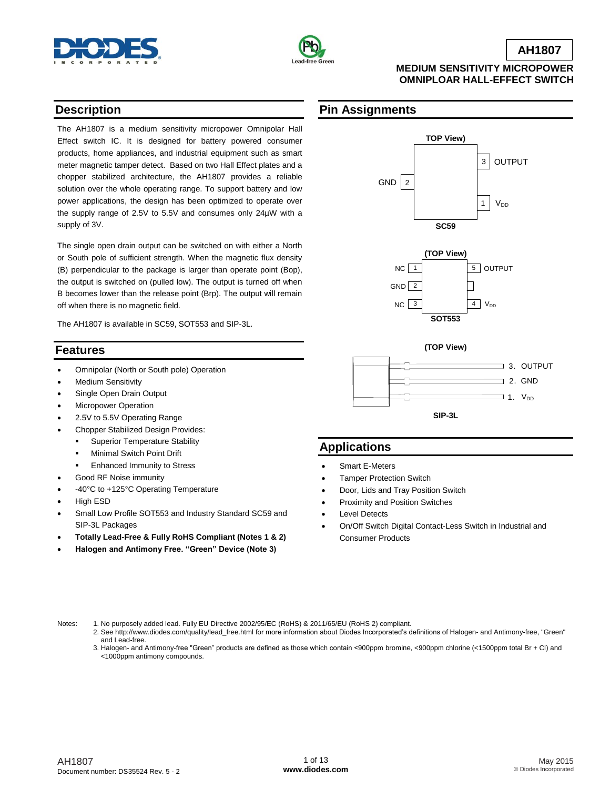



### **AH1807**

### **MEDIUM SENSITIVITY MICROPOWER OMNIPLOAR HALL-EFFECT SWITCH**

## **Description**

The AH1807 is a medium sensitivity micropower Omnipolar Hall Effect switch IC. It is designed for battery powered consumer products, home appliances, and industrial equipment such as smart meter magnetic tamper detect. Based on two Hall Effect plates and a chopper stabilized architecture, the AH1807 provides a reliable solution over the whole operating range. To support battery and low power applications, the design has been optimized to operate over the supply range of 2.5V to 5.5V and consumes only 24µW with a supply of 3V.

The single open drain output can be switched on with either a North or South pole of sufficient strength. When the magnetic flux density (B) perpendicular to the package is larger than operate point (Bop), the output is switched on (pulled low). The output is turned off when B becomes lower than the release point (Brp). The output will remain off when there is no magnetic field.

The AH1807 is available in SC59, SOT553 and SIP-3L.

### **Features**

- Omnipolar (North or South pole) Operation
- Medium Sensitivity
- Single Open Drain Output
- Micropower Operation
- 2.5V to 5.5V Operating Range
- Chopper Stabilized Design Provides:
	- Superior Temperature Stability
	- **-** Minimal Switch Point Drift
	- Enhanced Immunity to Stress
- Good RF Noise immunity
- -40°C to +125°C Operating Temperature
- High ESD
- Small Low Profile SOT553 and Industry Standard SC59 and SIP-3L Packages
- **Totally Lead-Free & Fully RoHS Compliant (Notes 1 & 2)**
- **Halogen and Antimony Free. "Green" Device (Note 3)**

## **Pin Assignments**







## **Applications**

- Smart E-Meters
- Tamper Protection Switch
- Door, Lids and Tray Position Switch
- Proximity and Position Switches
- Level Detects
- On/Off Switch Digital Contact-Less Switch in Industrial and Consumer Products

- Notes: 1. No purposely added lead. Fully EU Directive 2002/95/EC (RoHS) & 2011/65/EU (RoHS 2) compliant. 2. See [http://www.diodes.com/quality/lead\\_free.html](http://www.diodes.com/quality/lead_free.html) for more information about Diodes Incorporated's definitions of Halogen- and Antimony-free, "Green" and Lead-free.
	- 3. Halogen- and Antimony-free "Green" products are defined as those which contain <900ppm bromine, <900ppm chlorine (<1500ppm total Br + Cl) and <1000ppm antimony compounds.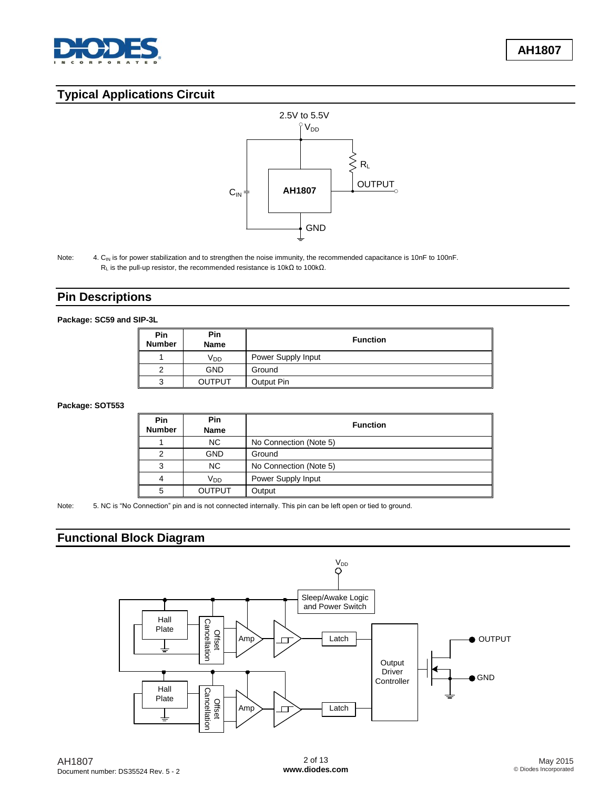

# **Typical Applications Circuit**



Note: 4. C<sub>IN</sub> is for power stabilization and to strengthen the noise immunity, the recommended capacitance is 10nF to 100nF. R<sub>L</sub> is the pull-up resistor, the recommended resistance is 10kΩ to 100kΩ.

## **Pin Descriptions**

#### **Package: SC59 and SIP-3L**

| Pin<br><b>Number</b> | Pin<br><b>Name</b> | <b>Function</b>    |  |  |  |
|----------------------|--------------------|--------------------|--|--|--|
|                      | Vpp                | Power Supply Input |  |  |  |
| 2                    | <b>GND</b>         | Ground             |  |  |  |
| 3                    | <b>OUTPUT</b>      | Output Pin         |  |  |  |

#### **Package: SOT553**

| Pin<br><b>Number</b> | Pin<br><b>Name</b> | <b>Function</b>        |  |  |
|----------------------|--------------------|------------------------|--|--|
|                      | NC.                | No Connection (Note 5) |  |  |
| $\mathcal{P}$        | <b>GND</b>         | Ground                 |  |  |
| 3                    | <b>NC</b>          | No Connection (Note 5) |  |  |
| 4                    | V <sub>DD</sub>    | Power Supply Input     |  |  |
| 5                    | <b>OUTPUT</b>      | Output                 |  |  |

Note: 5. NC is "No Connection" pin and is not connected internally. This pin can be left open or tied to ground.

# **Functional Block Diagram**

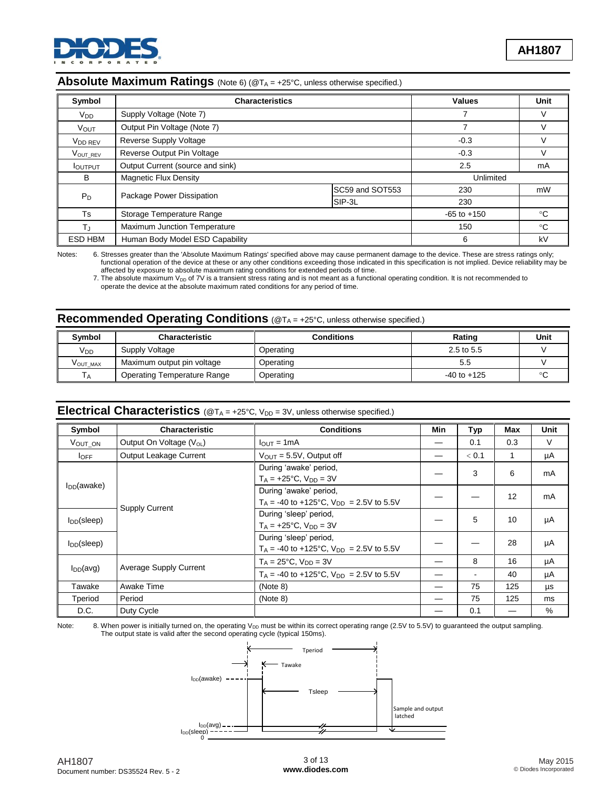

### **Absolute Maximum Ratings** (Note 6) (@T<sub>A</sub> = +25°C, unless otherwise specified.)

| Symbol              | <b>Characteristics</b>              |                 | <b>Values</b> | Unit |
|---------------------|-------------------------------------|-----------------|---------------|------|
| $V_{DD}$            | Supply Voltage (Note 7)             |                 |               |      |
| <b>VOUT</b>         | Output Pin Voltage (Note 7)         |                 | 7             |      |
| V <sub>DD</sub> REV | Reverse Supply Voltage              |                 | $-0.3$        |      |
| VOUT_REV            | Reverse Output Pin Voltage          | $-0.3$          |               |      |
| <b>I</b> OUTPUT     | Output Current (source and sink)    |                 |               | mA   |
| B                   | <b>Magnetic Flux Density</b>        | Unlimited       |               |      |
|                     | Package Power Dissipation           | SC59 and SOT553 | 230           | mW   |
| $P_D$               |                                     | SIP-3L          | 230           |      |
| <b>Ts</b>           | Storage Temperature Range           | $-65$ to $+150$ | $^{\circ}C$   |      |
| T.                  | <b>Maximum Junction Temperature</b> | 150             | $^{\circ}C$   |      |
| ESD HBM             | Human Body Model ESD Capability     | 6               | kV            |      |

Notes: 6. Stresses greater than the 'Absolute Maximum Ratings' specified above may cause permanent damage to the device. These are stress ratings only; functional operation of the device at these or any other conditions exceeding those indicated in this specification is not implied. Device reliability may be

 affected by exposure to absolute maximum rating conditions for extended periods of time. 7. The absolute maximum  $V_{DD}$  of 7V is a transient stress rating and is not meant as a functional operating condition. It is not recommended to operate the device at the absolute maximum rated conditions for any period of time.

## **Recommended Operating Conditions** (@T<sub>A</sub> = +25°C, unless otherwise specified.)

| <b>Symbol</b>         | <b>Characteristic</b>              | Conditions | Rating          | Unit |
|-----------------------|------------------------------------|------------|-----------------|------|
| <b>V<sub>DD</sub></b> | Supply Voltage                     | Operating  | 2.5 to 5.5      |      |
| VOUT MAX              | Maximum output pin voltage         | Operating  | 5.5             |      |
| $\overline{A}$        | <b>Operating Temperature Range</b> | Operating  | $-40$ to $+125$ |      |

## Electrical Characteristics (@T<sub>A</sub> = +25°C, V<sub>DD</sub> = 3V, unless otherwise specified.)

| Symbol           | <b>Characteristic</b>                | <b>Conditions</b>                                                                  | Min | Typ   | Max | <b>Unit</b> |
|------------------|--------------------------------------|------------------------------------------------------------------------------------|-----|-------|-----|-------------|
| VOUT ON          | Output On Voltage (V <sub>OL</sub> ) | $I_{\text{OUT}} = 1 \text{mA}$                                                     |     | 0.1   | 0.3 | V           |
| $I_{OFF}$        | Output Leakage Current               | $V_{\text{OUT}} = 5.5V$ , Output off                                               |     | < 0.1 |     | μA          |
|                  |                                      | During 'awake' period,<br>$T_A = +25$ °C, $V_{DD} = 3V$                            |     | 3     | 6   | mA          |
| $I_{DD}$ (awake) |                                      | During 'awake' period,<br>$T_A = -40$ to $+125^{\circ}$ C, $V_{DD} = 2.5V$ to 5.5V |     |       | 12  | mA          |
| $I_{DD}$ (sleep) | <b>Supply Current</b>                | During 'sleep' period,<br>$T_A = +25$ °C, $V_{DD} = 3V$                            |     | 5     | 10  | μA          |
| $I_{DD}$ (sleep) |                                      | During 'sleep' period,<br>$T_A = -40$ to $+125$ °C, $V_{DD} = 2.5V$ to 5.5V        |     |       | 28  | μA          |
|                  |                                      | $T_A = 25^{\circ}C$ , $V_{DD} = 3V$                                                |     | 8     | 16  | μA          |
| $I_{DD}(avg)$    | <b>Average Supply Current</b>        | $T_A = -40$ to $+125^{\circ}$ C, $V_{DD} = 2.5V$ to 5.5V                           |     | ۰     | 40  | μA          |
| Tawake           | Awake Time                           | (Note 8)                                                                           |     | 75    | 125 | μs          |
| Tperiod          | Period                               | (Note 8)                                                                           |     | 75    | 125 | ms          |
| D.C.             | Duty Cycle                           |                                                                                    |     | 0.1   |     | $\%$        |

Note: 8. When power is initially turned on, the operating V<sub>DD</sub> must be within its correct operating range (2.5V to 5.5V) to guaranteed the output sampling. The output state is valid after the second operating cycle (typical 150ms).

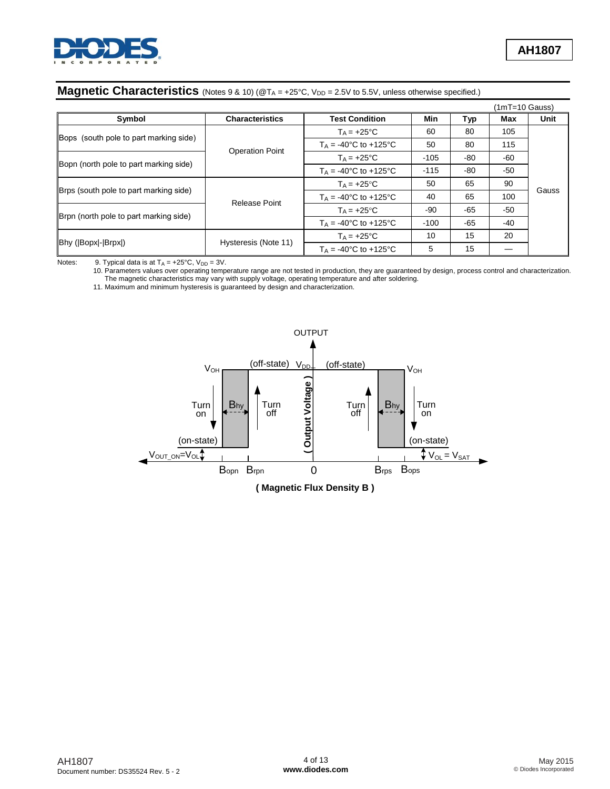

|                                        |                        |                                         |        |       | (1mT=10 Gauss) |       |
|----------------------------------------|------------------------|-----------------------------------------|--------|-------|----------------|-------|
| Symbol                                 | <b>Characteristics</b> | <b>Test Condition</b>                   | Min    | Typ   | Max            | Unit  |
| Bops (south pole to part marking side) |                        | $T_A = +25$ °C                          | 60     | 80    | 105            |       |
|                                        | <b>Operation Point</b> | $T_A = -40^{\circ}C$ to $+125^{\circ}C$ | 50     | 80    | 115            |       |
| Bopn (north pole to part marking side) |                        | $T_A = +25$ °C                          | $-105$ | -80   | -60            |       |
|                                        |                        | $T_A = -40^{\circ}C$ to $+125^{\circ}C$ | $-115$ | -80   | $-50$          |       |
|                                        |                        | $T_A = +25$ °C                          | 50     | 65    | 90             | Gauss |
| Brps (south pole to part marking side) |                        | $T_A = -40$ °C to $+125$ °C             | 40     | 65    | 100            |       |
|                                        | Release Point          | $T_A = +25$ °C                          | -90    | -65   | $-50$          |       |
| Brpn (north pole to part marking side) |                        | $T_A = -40^{\circ}C$ to $+125^{\circ}C$ | $-100$ | $-65$ | -40            |       |
|                                        |                        | $T_A = +25$ °C                          | 10     | 15    | 20             |       |
| Bhy (Bopx - Brpx )                     | Hysteresis (Note 11)   | $T_A = -40^{\circ}C$ to $+125^{\circ}C$ | 5      | 15    |                |       |

## **Magnetic Characteristics** (Notes 9 & 10) (@T<sub>A</sub> = +25°C, V<sub>DD</sub> = 2.5V to 5.5V, unless otherwise specified.)

Notes: 9. Typical data is at  $T_A = +25^{\circ}C$ ,  $V_{DD} = 3V$ .

10. Parameters values over operating temperature range are not tested in production, they are guaranteed by design, process control and characterization.

The magnetic characteristics may vary with supply voltage, operating temperature and after soldering.

11. Maximum and minimum hysteresis is guaranteed by design and characterization.

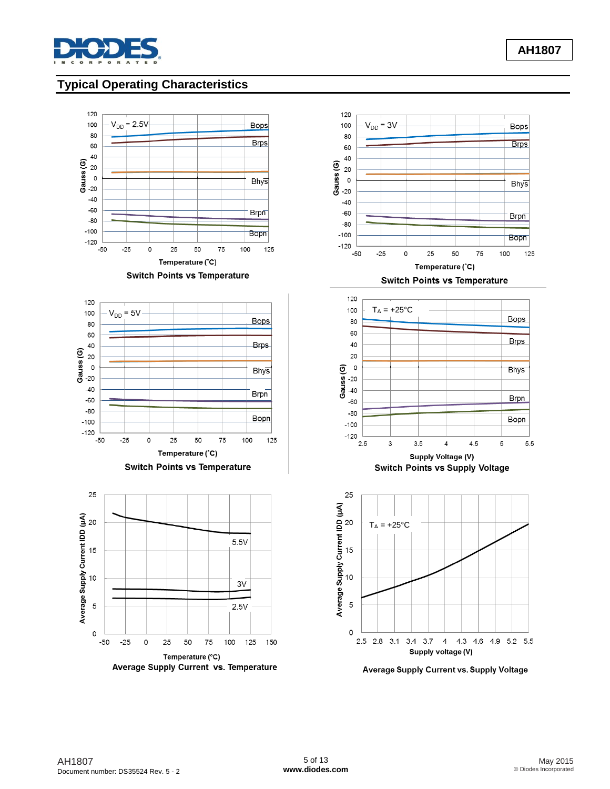

# **Typical Operating Characteristics**











Average Supply Current vs. Supply Voltage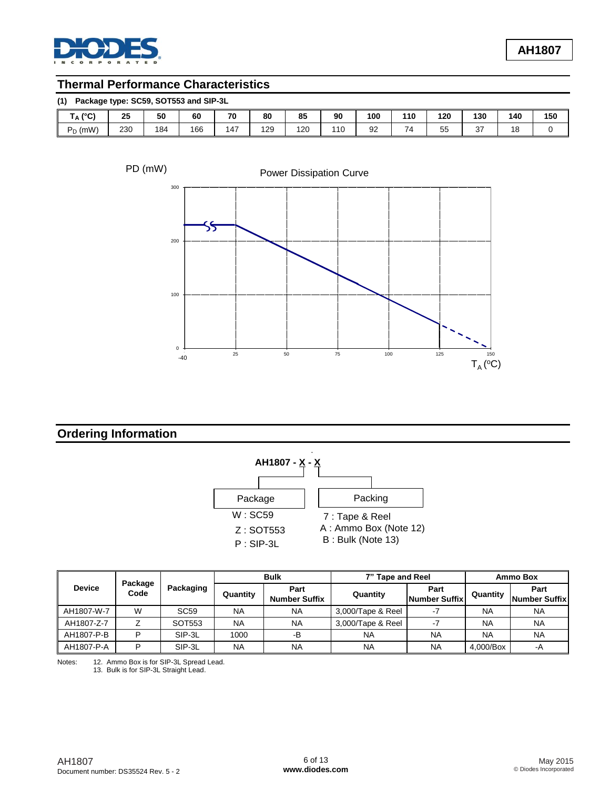

# **Thermal Performance Characteristics**

| Package type: SC59, SOT553 and SIP-3L<br>(1) |     |     |     |     |     |     |     |     |     |     |              |     |     |
|----------------------------------------------|-----|-----|-----|-----|-----|-----|-----|-----|-----|-----|--------------|-----|-----|
| $(^{\circ}C)$<br>۱Α۱                         | 25  | 50  | 60  | 70  | 80  | 85  | 90  | 100 | 110 | 120 | 130          | 140 | 150 |
| $P_D$ (mW)                                   | 230 | 184 | 166 | 147 | 129 | 120 | 110 | 92  | 74  | 55  | $\sim$<br>ູບ | 18  |     |

PD (mW)



## **Ordering Information**



|               |                 |             | <b>Bulk</b> |                              | 7" Tape and Reel  |                       | Ammo Box  |                       |
|---------------|-----------------|-------------|-------------|------------------------------|-------------------|-----------------------|-----------|-----------------------|
| <b>Device</b> | Package<br>Code | Packaging   | Quantity    | Part<br><b>Number Suffix</b> | Quantity          | Part<br>Number Suffix | Quantity  | Part<br>Number Suffix |
| AH1807-W-7    | W               | <b>SC59</b> | <b>NA</b>   | <b>NA</b>                    | 3,000/Tape & Reel |                       | <b>NA</b> | <b>NA</b>             |
| AH1807-Z-7    |                 | SOT553      | <b>NA</b>   | <b>NA</b>                    | 3.000/Tape & Reel |                       | <b>NA</b> | <b>NA</b>             |
| AH1807-P-B    | D               | SIP-3L      | 1000        | -В                           | <b>NA</b>         | <b>NA</b>             | <b>NA</b> | <b>NA</b>             |
| AH1807-P-A    | D               | SIP-3L      | <b>NA</b>   | <b>NA</b>                    | NA                | <b>NA</b>             | 4,000/Box | -A                    |

Notes: 12. Ammo Box is for SIP-3L Spread Lead.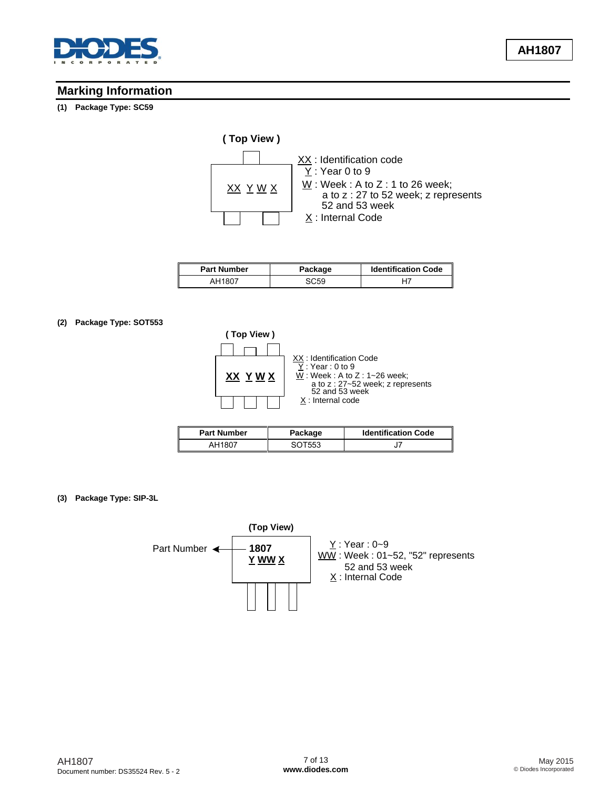

## **Marking Information**

#### **(1) Package Type: SC59**



| <b>Part Number</b> | Package | <b>Identification Code</b> |
|--------------------|---------|----------------------------|
| AH1807             | SC:59   |                            |

#### **(2) Package Type: SOT553**



| <b>Part Number</b> | Package | <b>Identification Code</b> |  |  |
|--------------------|---------|----------------------------|--|--|
| AH1807             | SOT553  |                            |  |  |

**(3) Package Type: SIP-3L**

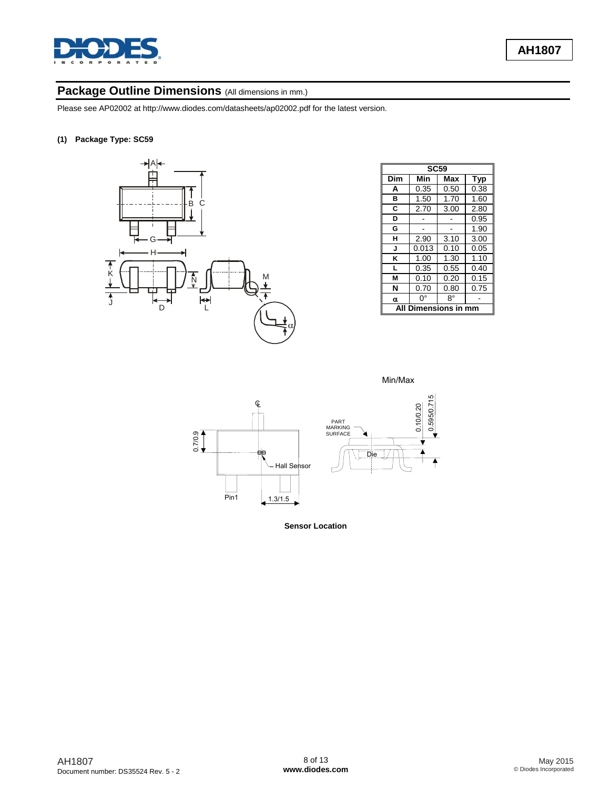

## Package Outline Dimensions (All dimensions in mm.)

Please see AP02002 at [http://www.diodes.com/datasheets/ap02002.pdf fo](http://www.diodes.com/datasheets/ap02002.pdf)r the latest version.

#### **(1) Package Type: SC59**



| <b>SC59</b> |              |      |      |  |  |  |  |  |
|-------------|--------------|------|------|--|--|--|--|--|
| Dim         | Min          | Max  | Typ  |  |  |  |  |  |
| A           | 0.35         | 0.50 | 0.38 |  |  |  |  |  |
| в           | 1.50         | 1.70 | 1.60 |  |  |  |  |  |
| C           | 2.70         | 3.00 | 2.80 |  |  |  |  |  |
| D           |              |      | 0.95 |  |  |  |  |  |
| G           |              |      | 1.90 |  |  |  |  |  |
| н           | 2.90         | 3.10 | 3.00 |  |  |  |  |  |
| J           | 0.013        | 0.10 | 0.05 |  |  |  |  |  |
| κ           | 1.00         | 1.30 | 1.10 |  |  |  |  |  |
| L           | 0.35         | 0.55 | 0.40 |  |  |  |  |  |
| м           | 0.10         | 0.20 | 0.15 |  |  |  |  |  |
| N           | 0.70         | 0.80 | 0.75 |  |  |  |  |  |
| α           | 8°           |      |      |  |  |  |  |  |
|             | Dimensions i |      |      |  |  |  |  |  |





**Sensor Location**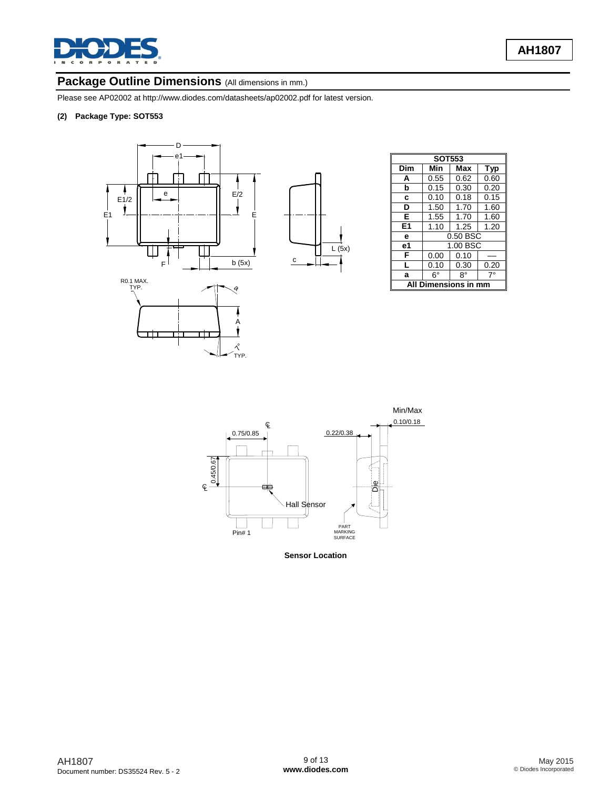

### Package Outline Dimensions (All dimensions in mm.)

Please see AP02002 at [http://www.diodes.com/datasheets/ap02002.pdf fo](http://www.diodes.com/datasheets/ap02002.pdf)r latest version.

#### **(2) Package Type: SOT553**



| <b>SOT553</b>          |             |          |            |  |  |  |  |
|------------------------|-------------|----------|------------|--|--|--|--|
| Dim                    | Min         | Max      | <b>Typ</b> |  |  |  |  |
| A                      | 0.55        | 0.62     | 0.60       |  |  |  |  |
| b                      | 0.15        | 0.30     | 0.20       |  |  |  |  |
| C                      | 0.10        | 0.18     | 0.15       |  |  |  |  |
| D                      | 1.50        | 1.70     | 1.60       |  |  |  |  |
| Е                      | 1.55        | 1.70     | 1.60       |  |  |  |  |
| E <sub>1</sub>         | 1.10        | 1.25     | 1.20       |  |  |  |  |
| e                      |             | 0.50 BSC |            |  |  |  |  |
| е1                     |             | 1.00 BSC |            |  |  |  |  |
| F                      | 0.00        | 0.10     |            |  |  |  |  |
| L                      | 0.10        | 0.30     | 0.20       |  |  |  |  |
| a                      | $6^{\circ}$ | 8°       | 7°         |  |  |  |  |
| Dimensions in mm<br>Al |             |          |            |  |  |  |  |



 $L(5x)$ 

**Sensor Location**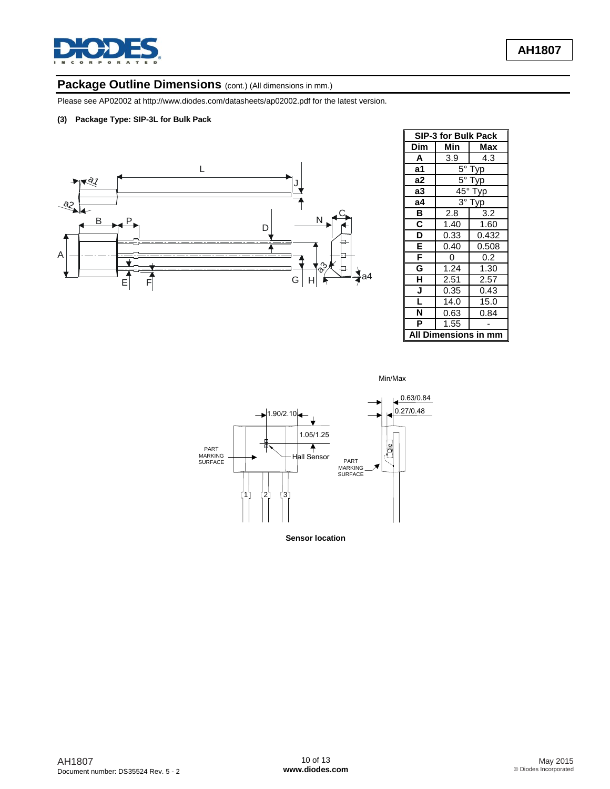

# Package Outline Dimensions (cont.) (All dimensions in mm.)

Please see AP02002 at [http://www.diodes.com/datasheets/ap02002.pdf fo](http://www.diodes.com/datasheets/ap02002.pdf)r the latest version.

#### **(3) Package Type: SIP-3L for Bulk Pack**



| <b>SIP-3 for Bulk Pack</b> |                     |       |  |
|----------------------------|---------------------|-------|--|
| Dim                        | Min                 | Max   |  |
| A                          | 3.9                 | 4.3   |  |
| a1                         | 5°<br>Тур           |       |  |
| a2                         | 5°<br>yp            |       |  |
| a3                         | $45^{\circ}$<br>Гур |       |  |
| a4                         | $3^\circ$<br>Гур    |       |  |
| в                          | 2.8                 | 3.2   |  |
| $\overline{\mathbf{c}}$    | 1.40                | 1.60  |  |
| $\overline{\mathsf{D}}$    | 0.33                | 0.432 |  |
| Ē                          | 0.40                | 0.508 |  |
| F                          | 0                   | 0.2   |  |
| G                          | 1.24                | 1.30  |  |
| $\overline{\mathsf{H}}$    | 2.51                | 2.57  |  |
| J                          | 0.35                | 0.43  |  |
| ī                          | 14.0                | 15.0  |  |
| Ñ                          | 0.63                | 0.84  |  |
| P                          | 1.55                |       |  |
| nensioı<br>ns              |                     |       |  |

Min/Max



**Sensor location**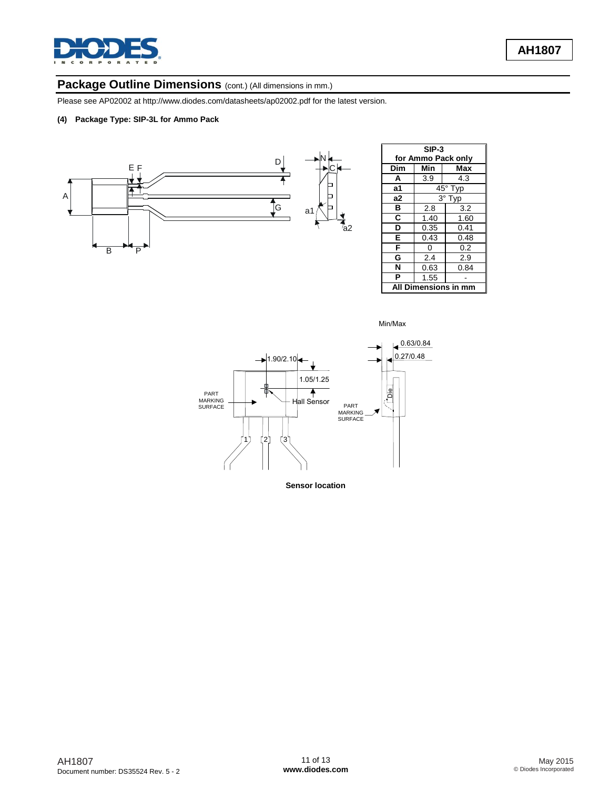

## Package Outline Dimensions (cont.) (All dimensions in mm.)

Please see AP02002 at [http://www.diodes.com/datasheets/ap02002.pdf fo](http://www.diodes.com/datasheets/ap02002.pdf)r the latest version.

#### **(4) Package Type: SIP-3L for Ammo Pack**



| $SIP-3$            |           |      |  |  |
|--------------------|-----------|------|--|--|
| for Ammo Pack only |           |      |  |  |
| Dim                | Min       | Max  |  |  |
| A                  | 3.9       | 4.3  |  |  |
| а1                 | 45° Typ   |      |  |  |
| a2                 | 3°<br>Typ |      |  |  |
| в                  | 2.8       | 3.2  |  |  |
| C                  | 1.40      | 1.60 |  |  |
| D                  | 0.35      | 0.41 |  |  |
| E                  | 0.43      | 0.48 |  |  |
| F                  | 0         | 0.2  |  |  |
| G                  | 2.4       | 2.9  |  |  |
| N                  | 0.63      | 0.84 |  |  |
| P                  | 1.55      |      |  |  |
| Dimensions in r    |           |      |  |  |

Min/Max



**Sensor location**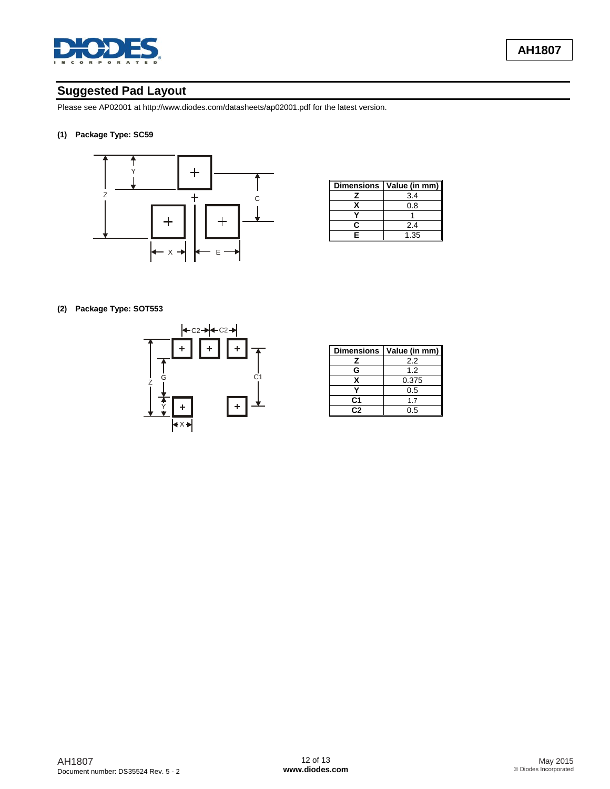

## **Suggested Pad Layout**

Please see AP02001 at<http://www.diodes.com/datasheets/ap02001.pdf> for the latest version.

### **(1) Package Type: SC59**



| <b>Dimensions</b> | Value (in mm) |
|-------------------|---------------|
|                   | 3.4           |
|                   | 0.8           |
|                   |               |
|                   | 2.4           |
| F                 | 1.35          |

#### **(2) Package Type: SOT553**



| <b>Dimensions</b> | Value (in mm) |
|-------------------|---------------|
| 7                 | 2.2           |
| G                 | 1.2           |
| x                 | 0.375         |
|                   | 0.5           |
| C1                | 17            |
| C2                | ሰ 5           |